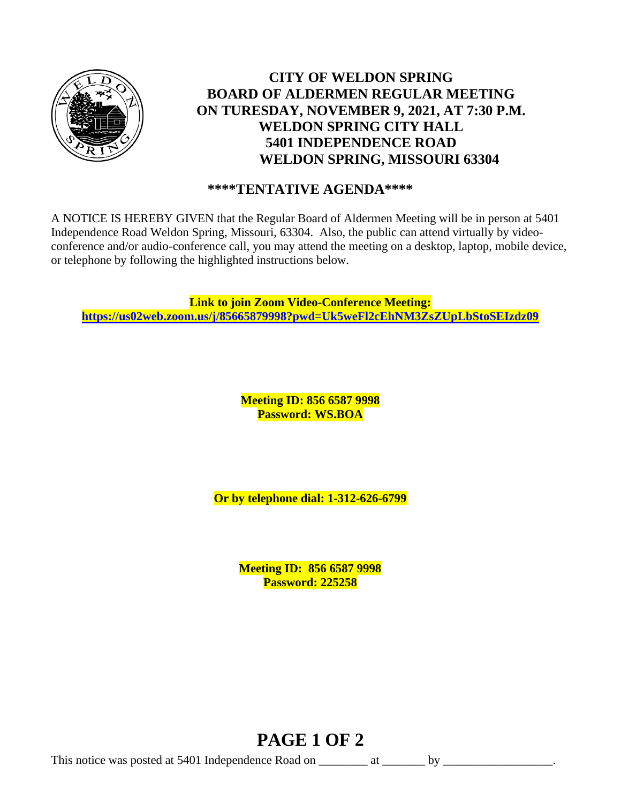

# **CITY OF WELDON SPRING BOARD OF ALDERMEN REGULAR MEETING ON TURESDAY, NOVEMBER 9, 2021, AT 7:30 P.M. WELDON SPRING CITY HALL 5401 INDEPENDENCE ROAD WELDON SPRING, MISSOURI 63304**

## **\*\*\*\*TENTATIVE AGENDA\*\*\*\***

A NOTICE IS HEREBY GIVEN that the Regular Board of Aldermen Meeting will be in person at 5401 Independence Road Weldon Spring, Missouri, 63304. Also, the public can attend virtually by videoconference and/or audio-conference call, you may attend the meeting on a desktop, laptop, mobile device, or telephone by following the highlighted instructions below.

**Link to join Zoom Video-Conference Meeting: <https://us02web.zoom.us/j/85665879998?pwd=Uk5weFl2cEhNM3ZsZUpLbStoSEIzdz09>**

> **Meeting ID: 856 6587 9998 Password: WS.BOA**

**Or by telephone dial: 1-312-626-6799**

**Meeting ID: 856 6587 9998 Password: 225258**

# **PAGE 1 OF 2**

This notice was posted at 5401 Independence Road on \_\_\_\_\_\_\_\_ at \_\_\_\_\_\_\_ by \_\_\_\_\_\_\_\_\_\_\_\_\_\_\_\_\_\_.